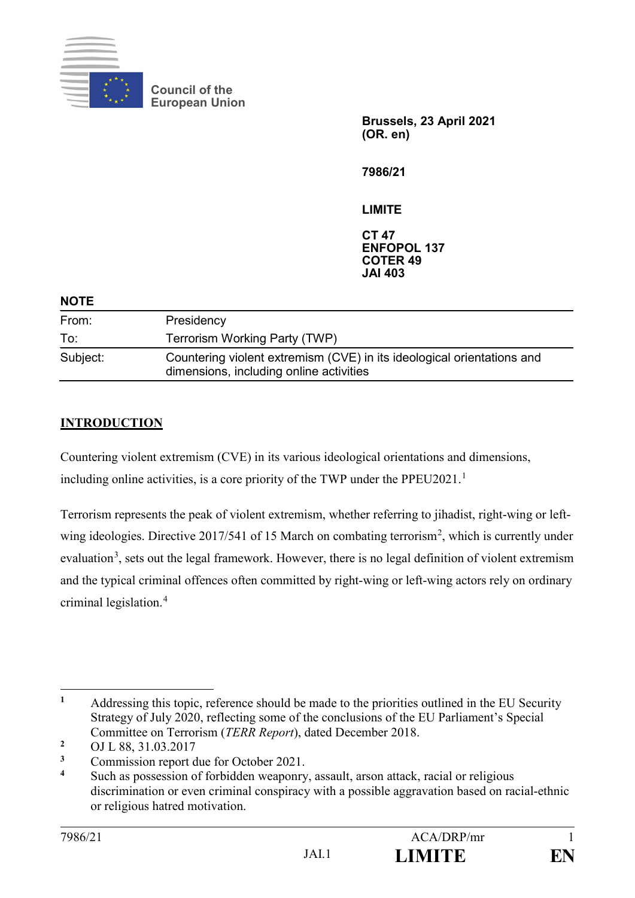

**Council of the European Union**

> **Brussels, 23 April 2021 (OR. en)**

**7986/21**

**LIMITE**

**CT 47 ENFOPOL 137 COTER 49 JAI 403**

| Presidency                                                                                                        |
|-------------------------------------------------------------------------------------------------------------------|
| Terrorism Working Party (TWP)                                                                                     |
| Countering violent extremism (CVE) in its ideological orientations and<br>dimensions, including online activities |
|                                                                                                                   |

## **INTRODUCTION**

Countering violent extremism (CVE) in its various ideological orientations and dimensions, including online activities, is a core priority of the TWP under the PPEU2021.<sup>1</sup>

Terrorism represents the peak of violent extremism, whether referring to jihadist, right-wing or leftwing ideologies. Directive 2017/541 of 15 March on combating terrorism<sup>2</sup>, which is currently under evaluation<sup>3</sup>, sets out the legal framework. However, there is no legal definition of violent extremism and the typical criminal offences often committed by right-wing or left-wing actors rely on ordinary criminal legislation.<sup>4</sup>

<sup>&</sup>lt;u>.</u> **<sup>1</sup>** Addressing this topic, reference should be made to the priorities outlined in the EU Security Strategy of July 2020, reflecting some of the conclusions of the EU Parliament's Special Committee on Terrorism (*TERR Report*), dated December 2018.

<sup>&</sup>lt;sup>2</sup> OJ L 88, 31.03.2017

<sup>&</sup>lt;sup>3</sup> Commission report due for October 2021.

**<sup>4</sup>** Such as possession of forbidden weaponry, assault, arson attack, racial or religious discrimination or even criminal conspiracy with a possible aggravation based on racial-ethnic or religious hatred motivation.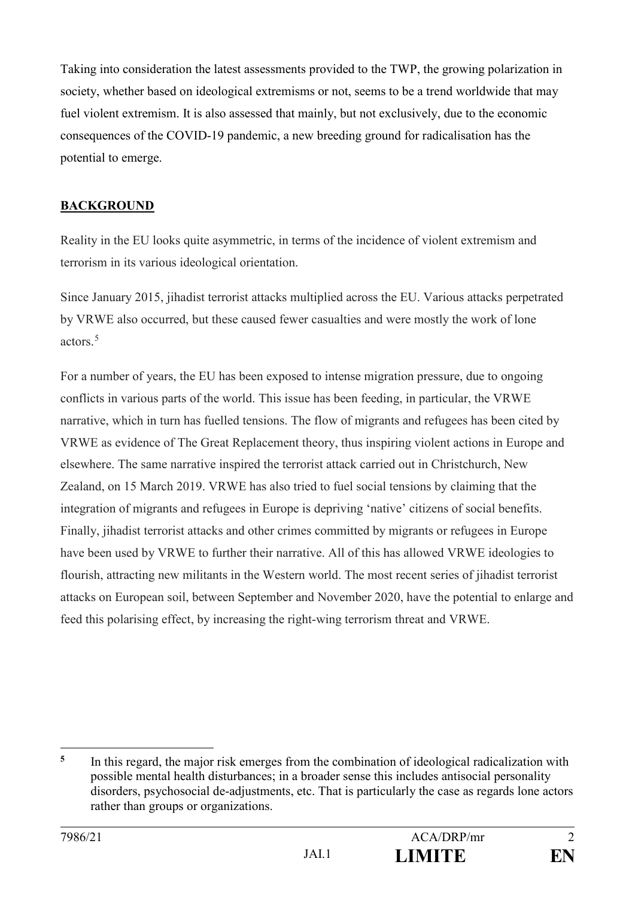Taking into consideration the latest assessments provided to the TWP, the growing polarization in society, whether based on ideological extremisms or not, seems to be a trend worldwide that may fuel violent extremism. It is also assessed that mainly, but not exclusively, due to the economic consequences of the COVID-19 pandemic, a new breeding ground for radicalisation has the potential to emerge.

#### **BACKGROUND**

Reality in the EU looks quite asymmetric, in terms of the incidence of violent extremism and terrorism in its various ideological orientation.

Since January 2015, jihadist terrorist attacks multiplied across the EU. Various attacks perpetrated by VRWE also occurred, but these caused fewer casualties and were mostly the work of lone actors.<sup>5</sup>

For a number of years, the EU has been exposed to intense migration pressure, due to ongoing conflicts in various parts of the world. This issue has been feeding, in particular, the VRWE narrative, which in turn has fuelled tensions. The flow of migrants and refugees has been cited by VRWE as evidence of The Great Replacement theory, thus inspiring violent actions in Europe and elsewhere. The same narrative inspired the terrorist attack carried out in Christchurch, New Zealand, on 15 March 2019. VRWE has also tried to fuel social tensions by claiming that the integration of migrants and refugees in Europe is depriving 'native' citizens of social benefits. Finally, jihadist terrorist attacks and other crimes committed by migrants or refugees in Europe have been used by VRWE to further their narrative. All of this has allowed VRWE ideologies to flourish, attracting new militants in the Western world. The most recent series of jihadist terrorist attacks on European soil, between September and November 2020, have the potential to enlarge and feed this polarising effect, by increasing the right-wing terrorism threat and VRWE.

<sup>-</sup><sup>5</sup> In this regard, the major risk emerges from the combination of ideological radicalization with possible mental health disturbances; in a broader sense this includes antisocial personality disorders, psychosocial de-adjustments, etc. That is particularly the case as regards lone actors rather than groups or organizations.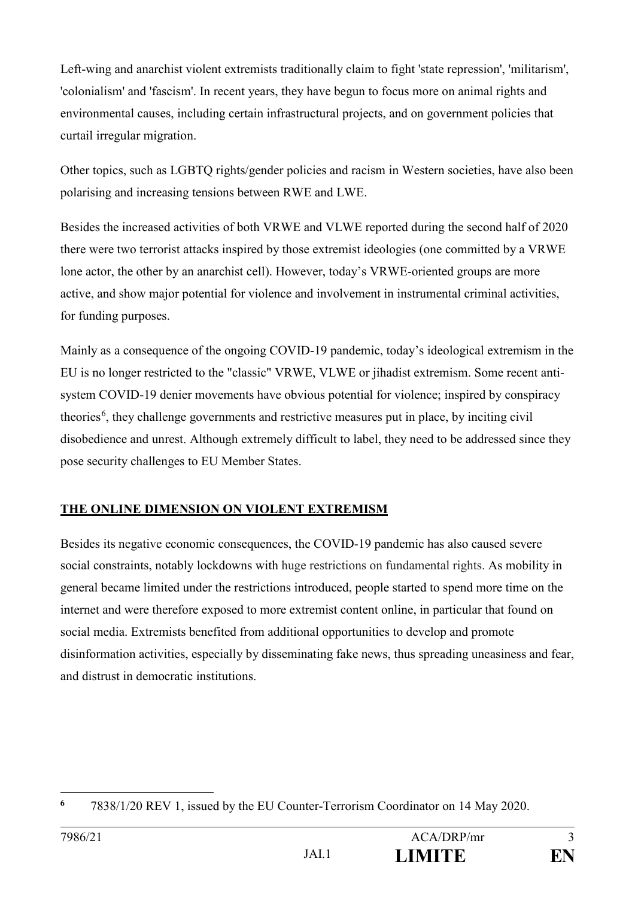Left-wing and anarchist violent extremists traditionally claim to fight 'state repression', 'militarism', 'colonialism' and 'fascism'. In recent years, they have begun to focus more on animal rights and environmental causes, including certain infrastructural projects, and on government policies that curtail irregular migration.

Other topics, such as LGBTQ rights/gender policies and racism in Western societies, have also been polarising and increasing tensions between RWE and LWE.

Besides the increased activities of both VRWE and VLWE reported during the second half of 2020 there were two terrorist attacks inspired by those extremist ideologies (one committed by a VRWE lone actor, the other by an anarchist cell). However, today's VRWE-oriented groups are more active, and show major potential for violence and involvement in instrumental criminal activities, for funding purposes.

Mainly as a consequence of the ongoing COVID-19 pandemic, today's ideological extremism in the EU is no longer restricted to the "classic" VRWE, VLWE or jihadist extremism. Some recent antisystem COVID-19 denier movements have obvious potential for violence; inspired by conspiracy theories<sup>6</sup>, they challenge governments and restrictive measures put in place, by inciting civil disobedience and unrest. Although extremely difficult to label, they need to be addressed since they pose security challenges to EU Member States.

#### **THE ONLINE DIMENSION ON VIOLENT EXTREMISM**

Besides its negative economic consequences, the COVID-19 pandemic has also caused severe social constraints, notably lockdowns with huge restrictions on fundamental rights. As mobility in general became limited under the restrictions introduced, people started to spend more time on the internet and were therefore exposed to more extremist content online, in particular that found on social media. Extremists benefited from additional opportunities to develop and promote disinformation activities, especially by disseminating fake news, thus spreading uneasiness and fear, and distrust in democratic institutions.

<sup>&</sup>lt;u>.</u> **6** 7838/1/20 REV 1, issued by the EU Counter-Terrorism Coordinator on 14 May 2020.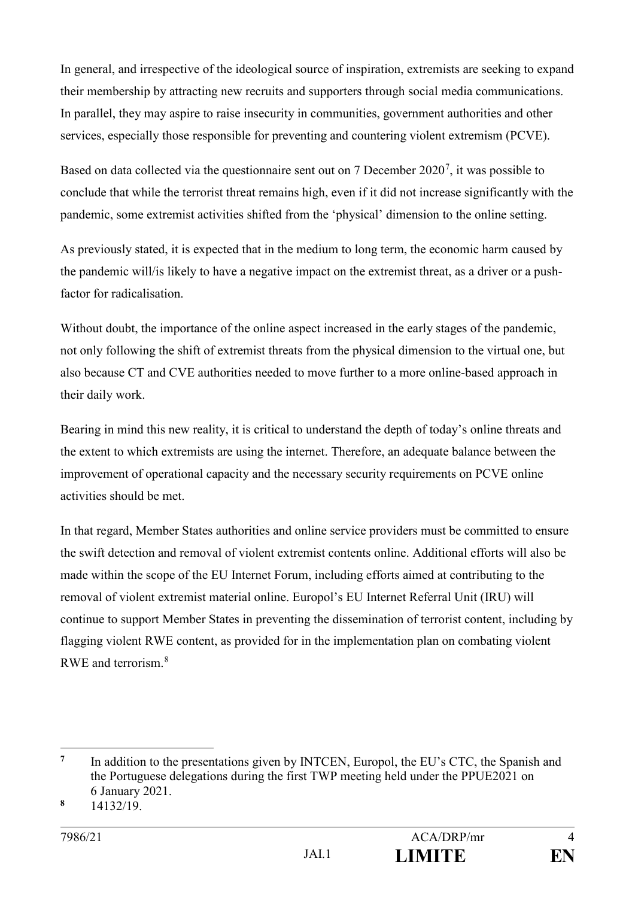In general, and irrespective of the ideological source of inspiration, extremists are seeking to expand their membership by attracting new recruits and supporters through social media communications. In parallel, they may aspire to raise insecurity in communities, government authorities and other services, especially those responsible for preventing and countering violent extremism (PCVE).

Based on data collected via the questionnaire sent out on 7 December 2020<sup>7</sup>, it was possible to conclude that while the terrorist threat remains high, even if it did not increase significantly with the pandemic, some extremist activities shifted from the 'physical' dimension to the online setting.

As previously stated, it is expected that in the medium to long term, the economic harm caused by the pandemic will/is likely to have a negative impact on the extremist threat, as a driver or a pushfactor for radicalisation.

Without doubt, the importance of the online aspect increased in the early stages of the pandemic, not only following the shift of extremist threats from the physical dimension to the virtual one, but also because CT and CVE authorities needed to move further to a more online-based approach in their daily work.

Bearing in mind this new reality, it is critical to understand the depth of today's online threats and the extent to which extremists are using the internet. Therefore, an adequate balance between the improvement of operational capacity and the necessary security requirements on PCVE online activities should be met.

In that regard, Member States authorities and online service providers must be committed to ensure the swift detection and removal of violent extremist contents online. Additional efforts will also be made within the scope of the EU Internet Forum, including efforts aimed at contributing to the removal of violent extremist material online. Europol's EU Internet Referral Unit (IRU) will continue to support Member States in preventing the dissemination of terrorist content, including by flagging violent RWE content, as provided for in the implementation plan on combating violent RWE and terrorism.<sup>8</sup>

-

<sup>&</sup>lt;sup>7</sup> In addition to the presentations given by INTCEN, Europol, the EU's CTC, the Spanish and the Portuguese delegations during the first TWP meeting held under the PPUE2021 on 6 January 2021.

**<sup>8</sup>** 14132/19.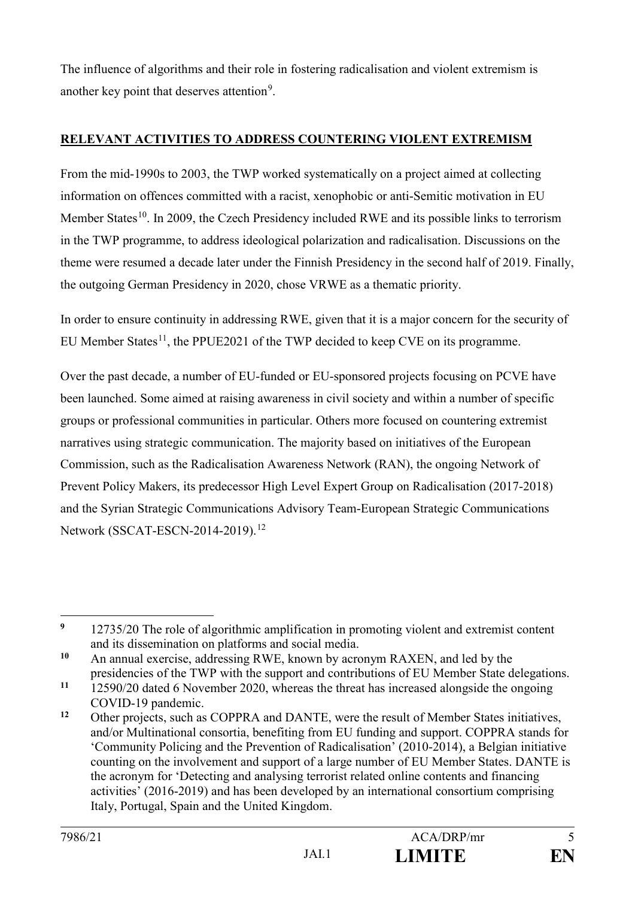The influence of algorithms and their role in fostering radicalisation and violent extremism is another key point that deserves attention<sup>9</sup>.

### **RELEVANT ACTIVITIES TO ADDRESS COUNTERING VIOLENT EXTREMISM**

From the mid-1990s to 2003, the TWP worked systematically on a project aimed at collecting information on offences committed with a racist, xenophobic or anti-Semitic motivation in EU Member States<sup>10</sup>. In 2009, the Czech Presidency included RWE and its possible links to terrorism in the TWP programme, to address ideological polarization and radicalisation. Discussions on the theme were resumed a decade later under the Finnish Presidency in the second half of 2019. Finally, the outgoing German Presidency in 2020, chose VRWE as a thematic priority.

In order to ensure continuity in addressing RWE, given that it is a major concern for the security of EU Member States<sup>11</sup>, the PPUE2021 of the TWP decided to keep CVE on its programme.

Over the past decade, a number of EU-funded or EU-sponsored projects focusing on PCVE have been launched. Some aimed at raising awareness in civil society and within a number of specific groups or professional communities in particular. Others more focused on countering extremist narratives using strategic communication. The majority based on initiatives of the European Commission, such as the Radicalisation Awareness Network (RAN), the ongoing Network of Prevent Policy Makers, its predecessor High Level Expert Group on Radicalisation (2017-2018) and the Syrian Strategic Communications Advisory Team-European Strategic Communications Network (SSCAT-ESCN-2014-2019).<sup>12</sup>

<sup>&</sup>lt;u>.</u> <sup>9</sup> 12735/20 The role of algorithmic amplification in promoting violent and extremist content and its dissemination on platforms and social media.

**<sup>10</sup>** An annual exercise, addressing RWE, known by acronym RAXEN, and led by the presidencies of the TWP with the support and contributions of EU Member State delegations.

**<sup>11</sup>** 12590/20 dated 6 November 2020, whereas the threat has increased alongside the ongoing COVID-19 pandemic.

**<sup>12</sup>** Other projects, such as COPPRA and DANTE, were the result of Member States initiatives, and/or Multinational consortia, benefiting from EU funding and support. COPPRA stands for 'Community Policing and the Prevention of Radicalisation' (2010-2014), a Belgian initiative counting on the involvement and support of a large number of EU Member States. DANTE is the acronym for 'Detecting and analysing terrorist related online contents and financing activities' (2016-2019) and has been developed by an international consortium comprising Italy, Portugal, Spain and the United Kingdom.